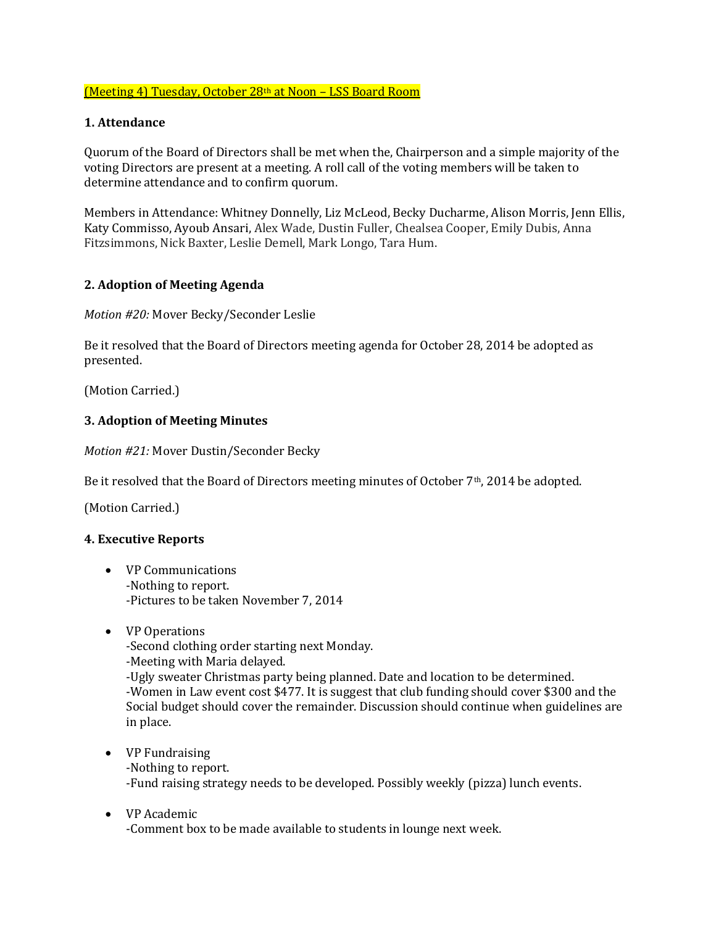# (Meeting 4) Tuesday, October 28th at Noon – LSS Board Room

### **1. Attendance**

Quorum of the Board of Directors shall be met when the, Chairperson and a simple majority of the voting Directors are present at a meeting. A roll call of the voting members will be taken to determine attendance and to confirm quorum.

Members in Attendance: Whitney Donnelly, Liz McLeod, Becky Ducharme, Alison Morris, Jenn Ellis, Katy Commisso, Ayoub Ansari, Alex Wade, Dustin Fuller, Chealsea Cooper, Emily Dubis, Anna Fitzsimmons, Nick Baxter, Leslie Demell, Mark Longo, Tara Hum.

#### **2. Adoption of Meeting Agenda**

*Motion #20:* Mover Becky/Seconder Leslie

Be it resolved that the Board of Directors meeting agenda for October 28, 2014 be adopted as presented.

(Motion Carried.)

## **3. Adoption of Meeting Minutes**

*Motion #21:* Mover Dustin/Seconder Becky

Be it resolved that the Board of Directors meeting minutes of October 7th, 2014 be adopted.

(Motion Carried.)

#### **4. Executive Reports**

- VP Communications -Nothing to report. -Pictures to be taken November 7, 2014
- VP Operations -Second clothing order starting next Monday. -Meeting with Maria delayed.

-Ugly sweater Christmas party being planned. Date and location to be determined. -Women in Law event cost \$477. It is suggest that club funding should cover \$300 and the Social budget should cover the remainder. Discussion should continue when guidelines are in place.

- VP Fundraising -Nothing to report. -Fund raising strategy needs to be developed. Possibly weekly (pizza) lunch events.
- VP Academic -Comment box to be made available to students in lounge next week.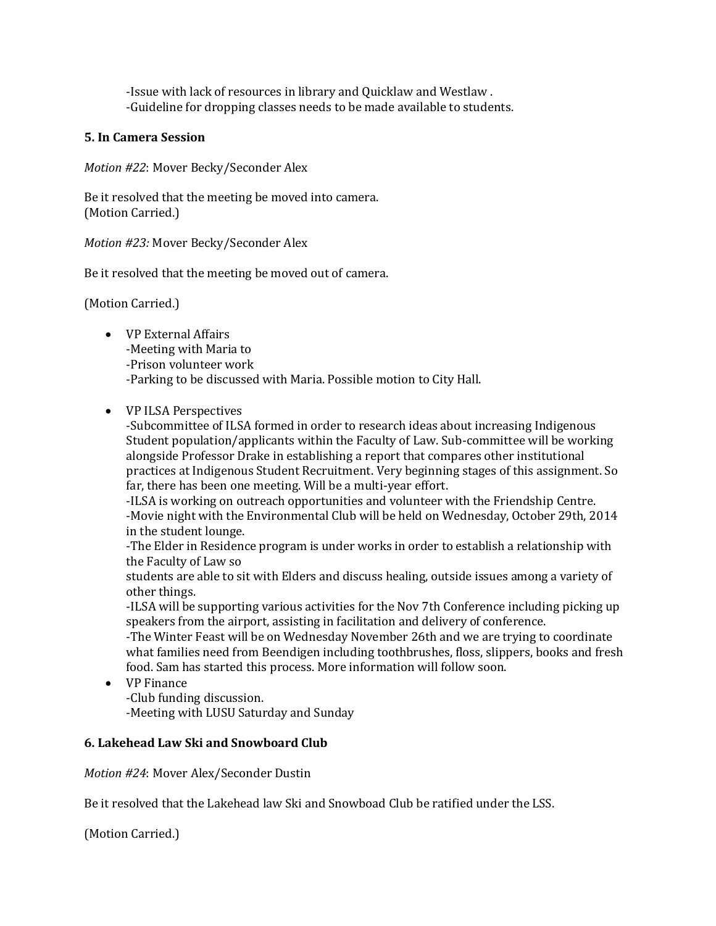-Issue with lack of resources in library and Quicklaw and Westlaw . -Guideline for dropping classes needs to be made available to students.

### **5. In Camera Session**

*Motion #22*: Mover Becky/Seconder Alex

Be it resolved that the meeting be moved into camera. (Motion Carried.)

*Motion #23:* Mover Becky/Seconder Alex

Be it resolved that the meeting be moved out of camera.

(Motion Carried.)

- VP External Affairs -Meeting with Maria to -Prison volunteer work -Parking to be discussed with Maria. Possible motion to City Hall.
- VP ILSA Perspectives

-Subcommittee of ILSA formed in order to research ideas about increasing Indigenous Student population/applicants within the Faculty of Law. Sub-committee will be working alongside Professor Drake in establishing a report that compares other institutional practices at Indigenous Student Recruitment. Very beginning stages of this assignment. So far, there has been one meeting. Will be a multi-year effort.

-ILSA is working on outreach opportunities and volunteer with the Friendship Centre. -Movie night with the Environmental Club will be held on Wednesday, October 29th, 2014 in the student lounge.

-The Elder in Residence program is under works in order to establish a relationship with the Faculty of Law so

students are able to sit with Elders and discuss healing, outside issues among a variety of other things.

-ILSA will be supporting various activities for the Nov 7th Conference including picking up speakers from the airport, assisting in facilitation and delivery of conference.

-The Winter Feast will be on Wednesday November 26th and we are trying to coordinate what families need from Beendigen including toothbrushes, floss, slippers, books and fresh food. Sam has started this process. More information will follow soon.

• VP Finance

-Club funding discussion. -Meeting with LUSU Saturday and Sunday

# **6. Lakehead Law Ski and Snowboard Club**

*Motion #24*: Mover Alex/Seconder Dustin

Be it resolved that the Lakehead law Ski and Snowboad Club be ratified under the LSS.

(Motion Carried.)